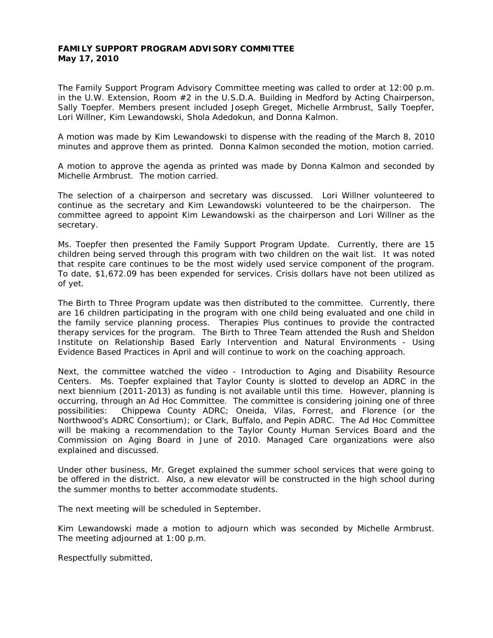## **FAMILY SUPPORT PROGRAM ADVISORY COMMITTEE May 17, 2010**

The Family Support Program Advisory Committee meeting was called to order at 12:00 p.m. in the U.W. Extension, Room  $#2$  in the U.S.D.A. Building in Medford by Acting Chairperson, Sally Toepfer. Members present included Joseph Greget, Michelle Armbrust, Sally Toepfer, Lori Willner, Kim Lewandowski, Shola Adedokun, and Donna Kalmon.

A motion was made by Kim Lewandowski to dispense with the reading of the March 8, 2010 minutes and approve them as printed. Donna Kalmon seconded the motion, motion carried.

A motion to approve the agenda as printed was made by Donna Kalmon and seconded by Michelle Armbrust. The motion carried.

The selection of a chairperson and secretary was discussed. Lori Willner volunteered to continue as the secretary and Kim Lewandowski volunteered to be the chairperson. The committee agreed to appoint Kim Lewandowski as the chairperson and Lori Willner as the secretary.

Ms. Toepfer then presented the Family Support Program Update. Currently, there are 15 children being served through this program with two children on the wait list. It was noted that respite care continues to be the most widely used service component of the program. To date, \$1,672.09 has been expended for services. Crisis dollars have not been utilized as of yet.

The Birth to Three Program update was then distributed to the committee. Currently, there are 16 children participating in the program with one child being evaluated and one child in the family service planning process. Therapies Plus continues to provide the contracted therapy services for the program. The Birth to Three Team attended the Rush and Sheldon Institute on Relationship Based Early Intervention and Natural Environments - Using Evidence Based Practices in April and will continue to work on the coaching approach.

Next, the committee watched the video - Introduction to Aging and Disability Resource Centers. Ms. Toepfer explained that Taylor County is slotted to develop an ADRC in the next biennium (2011-2013) as funding is not available until this time. However, planning is occurring, through an Ad Hoc Committee. The committee is considering joining one of three possibilities: Chippewa County ADRC; Oneida, Vilas, Forrest, and Florence (or the Northwood's ADRC Consortium); or Clark, Buffalo, and Pepin ADRC. The Ad Hoc Committee will be making a recommendation to the Taylor County Human Services Board and the Commission on Aging Board in June of 2010. Managed Care organizations were also explained and discussed.

Under other business, Mr. Greget explained the summer school services that were going to be offered in the district. Also, a new elevator will be constructed in the high school during the summer months to better accommodate students.

The next meeting will be scheduled in September.

Kim Lewandowski made a motion to adjourn which was seconded by Michelle Armbrust. The meeting adjourned at 1:00 p.m.

Respectfully submitted,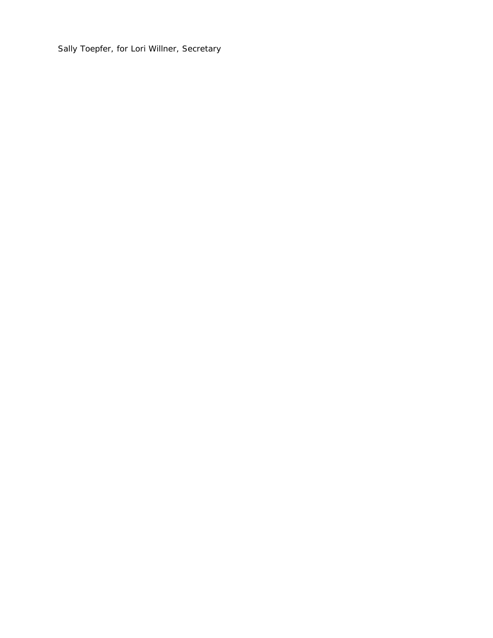Sally Toepfer, for Lori Willner, Secretary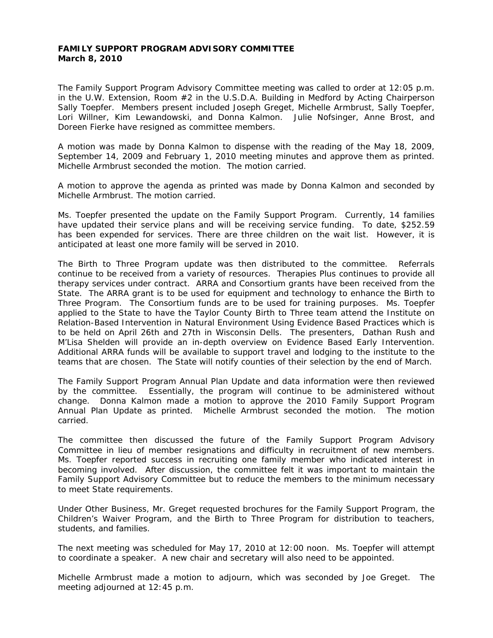## **FAMILY SUPPORT PROGRAM ADVISORY COMMITTEE March 8, 2010**

The Family Support Program Advisory Committee meeting was called to order at 12:05 p.m. in the U.W. Extension, Room  $#2$  in the U.S.D.A. Building in Medford by Acting Chairperson Sally Toepfer. Members present included Joseph Greget, Michelle Armbrust, Sally Toepfer, Lori Willner, Kim Lewandowski, and Donna Kalmon. Julie Nofsinger, Anne Brost, and Doreen Fierke have resigned as committee members.

A motion was made by Donna Kalmon to dispense with the reading of the May 18, 2009, September 14, 2009 and February 1, 2010 meeting minutes and approve them as printed. Michelle Armbrust seconded the motion. The motion carried.

A motion to approve the agenda as printed was made by Donna Kalmon and seconded by Michelle Armbrust. The motion carried.

Ms. Toepfer presented the update on the Family Support Program. Currently, 14 families have updated their service plans and will be receiving service funding. To date, \$252.59 has been expended for services. There are three children on the wait list. However, it is anticipated at least one more family will be served in 2010.

The Birth to Three Program update was then distributed to the committee. Referrals continue to be received from a variety of resources. Therapies Plus continues to provide all therapy services under contract. ARRA and Consortium grants have been received from the State. The ARRA grant is to be used for equipment and technology to enhance the Birth to Three Program. The Consortium funds are to be used for training purposes. Ms. Toepfer applied to the State to have the Taylor County Birth to Three team attend the Institute on Relation-Based Intervention in Natural Environment Using Evidence Based Practices which is to be held on April 26th and 27th in Wisconsin Dells. The presenters, Dathan Rush and M'Lisa Shelden will provide an in-depth overview on Evidence Based Early Intervention. Additional ARRA funds will be available to support travel and lodging to the institute to the teams that are chosen. The State will notify counties of their selection by the end of March.

The Family Support Program Annual Plan Update and data information were then reviewed by the committee. Essentially, the program will continue to be administered without change. Donna Kalmon made a motion to approve the 2010 Family Support Program Annual Plan Update as printed. Michelle Armbrust seconded the motion. The motion carried.

The committee then discussed the future of the Family Support Program Advisory Committee in lieu of member resignations and difficulty in recruitment of new members. Ms. Toepfer reported success in recruiting one family member who indicated interest in becoming involved. After discussion, the committee felt it was important to maintain the Family Support Advisory Committee but to reduce the members to the minimum necessary to meet State requirements.

Under Other Business, Mr. Greget requested brochures for the Family Support Program, the Children's Waiver Program, and the Birth to Three Program for distribution to teachers, students, and families.

The next meeting was scheduled for May 17, 2010 at 12:00 noon. Ms. Toepfer will attempt to coordinate a speaker. A new chair and secretary will also need to be appointed.

Michelle Armbrust made a motion to adjourn, which was seconded by Joe Greget. The meeting adjourned at 12:45 p.m.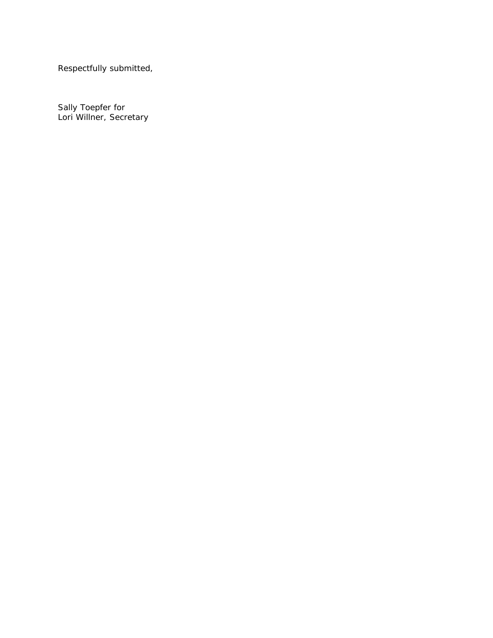Respectfully submitted,

Sally Toepfer for Lori Willner, Secretary